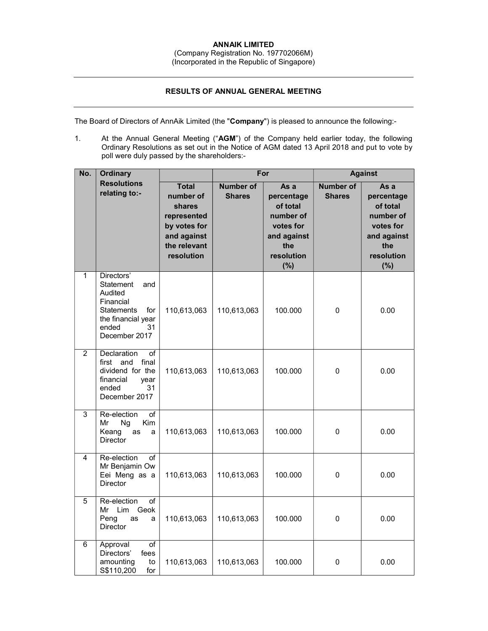## RESULTS OF ANNUAL GENERAL MEETING

The Board of Directors of AnnAik Limited (the "Company") is pleased to announce the following:-

1. At the Annual General Meeting ("AGM") of the Company held earlier today, the following Ordinary Resolutions as set out in the Notice of AGM dated 13 April 2018 and put to vote by poll were duly passed by the shareholders:-

| No.            | <b>Ordinary</b>                                                                                                                          |                                                                                                                 | For                               |                                                                                                     | <b>Against</b>                    |                                                                                                     |
|----------------|------------------------------------------------------------------------------------------------------------------------------------------|-----------------------------------------------------------------------------------------------------------------|-----------------------------------|-----------------------------------------------------------------------------------------------------|-----------------------------------|-----------------------------------------------------------------------------------------------------|
|                | <b>Resolutions</b><br>relating to:-                                                                                                      | <b>Total</b><br>number of<br>shares<br>represented<br>by votes for<br>and against<br>the relevant<br>resolution | <b>Number of</b><br><b>Shares</b> | As a<br>percentage<br>of total<br>number of<br>votes for<br>and against<br>the<br>resolution<br>(%) | <b>Number of</b><br><b>Shares</b> | As a<br>percentage<br>of total<br>number of<br>votes for<br>and against<br>the<br>resolution<br>(%) |
| 1              | Directors'<br>Statement<br>and<br>Audited<br>Financial<br><b>Statements</b><br>for<br>the financial year<br>ended<br>31<br>December 2017 | 110,613,063                                                                                                     | 110,613,063                       | 100.000                                                                                             | $\mathbf 0$                       | 0.00                                                                                                |
| $\overline{2}$ | Declaration<br>of<br>final<br>first<br>and<br>dividend for the<br>financial<br>year<br>ended<br>31<br>December 2017                      | 110,613,063                                                                                                     | 110,613,063                       | 100.000                                                                                             | 0                                 | 0.00                                                                                                |
| $\overline{3}$ | Re-election<br>of<br>Mr<br>Ng<br>Kim<br>Keang<br>as<br>a<br>Director                                                                     | 110,613,063                                                                                                     | 110,613,063                       | 100.000                                                                                             | 0                                 | 0.00                                                                                                |
| 4              | Re-election<br>of<br>Mr Benjamin Ow<br>Eei Meng as a<br><b>Director</b>                                                                  | 110,613,063                                                                                                     | 110,613,063                       | 100.000                                                                                             | 0                                 | 0.00                                                                                                |
| 5              | Re-election<br>of<br>Mr Lim<br>Geok<br>Peng<br>as<br>a<br><b>Director</b>                                                                | 110,613,063                                                                                                     | 110,613,063                       | 100.000                                                                                             | 0                                 | 0.00                                                                                                |
| 6              | Approval<br>of<br>Directors'<br>fees<br>amounting<br>to<br>S\$110,200<br>for                                                             | 110,613,063                                                                                                     | 110,613,063                       | 100.000                                                                                             | 0                                 | 0.00                                                                                                |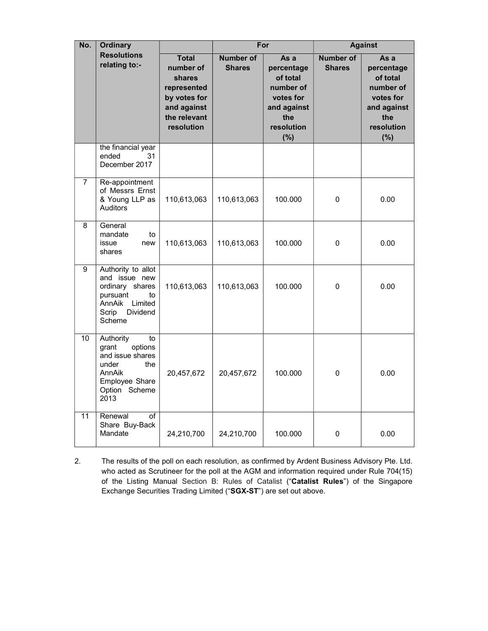| No.             | <b>Ordinary</b>                                                                                                                                  |                                                                                                                 |                                   | For                                                                                                 |                                   | <b>Against</b>                                                                                      |  |
|-----------------|--------------------------------------------------------------------------------------------------------------------------------------------------|-----------------------------------------------------------------------------------------------------------------|-----------------------------------|-----------------------------------------------------------------------------------------------------|-----------------------------------|-----------------------------------------------------------------------------------------------------|--|
|                 | <b>Resolutions</b><br>relating to:-                                                                                                              | <b>Total</b><br>number of<br>shares<br>represented<br>by votes for<br>and against<br>the relevant<br>resolution | <b>Number</b> of<br><b>Shares</b> | As a<br>percentage<br>of total<br>number of<br>votes for<br>and against<br>the<br>resolution<br>(%) | <b>Number of</b><br><b>Shares</b> | As a<br>percentage<br>of total<br>number of<br>votes for<br>and against<br>the<br>resolution<br>(%) |  |
|                 | the financial year<br>ended<br>31<br>December 2017                                                                                               |                                                                                                                 |                                   |                                                                                                     |                                   |                                                                                                     |  |
| $\overline{7}$  | Re-appointment<br>of Messrs Ernst<br>& Young LLP as<br>Auditors                                                                                  | 110,613,063                                                                                                     | 110,613,063                       | 100.000                                                                                             | 0                                 | 0.00                                                                                                |  |
| 8               | General<br>mandate<br>to<br>issue<br>new<br>shares                                                                                               | 110,613,063                                                                                                     | 110,613,063                       | 100.000                                                                                             | 0                                 | 0.00                                                                                                |  |
| 9               | Authority to allot<br>and issue new<br>ordinary shares<br>pursuant<br>to<br>AnnAik<br>Limited<br>Scrip<br>Dividend<br>Scheme                     | 110,613,063                                                                                                     | 110,613,063                       | 100.000                                                                                             | 0                                 | 0.00                                                                                                |  |
| $\overline{10}$ | Authority<br>$\overline{10}$<br>grant<br>options<br>and issue shares<br>under<br>the<br><b>AnnAik</b><br>Employee Share<br>Option Scheme<br>2013 | 20,457,672                                                                                                      | 20,457,672                        | 100.000                                                                                             | 0                                 | 0.00                                                                                                |  |
| 11              | Renewal<br>of<br>Share Buy-Back<br>Mandate                                                                                                       | 24,210,700                                                                                                      | 24,210,700                        | 100.000                                                                                             | 0                                 | 0.00                                                                                                |  |

2. The results of the poll on each resolution, as confirmed by Ardent Business Advisory Pte. Ltd. who acted as Scrutineer for the poll at the AGM and information required under Rule 704(15) of the Listing Manual Section B: Rules of Catalist ("Catalist Rules") of the Singapore Exchange Securities Trading Limited ("SGX-ST") are set out above.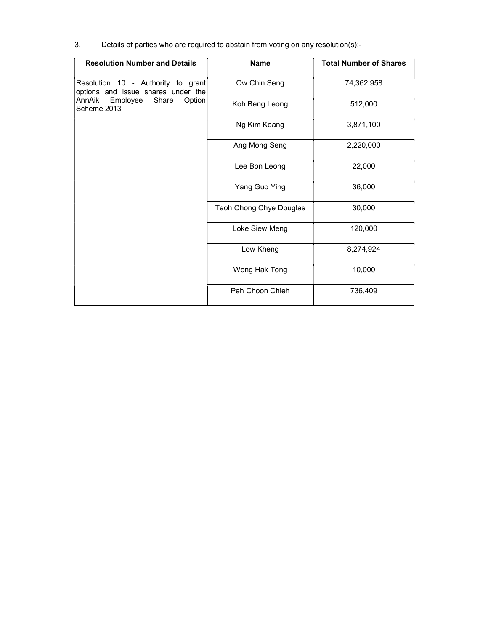3. Details of parties who are required to abstain from voting on any resolution(s):-

| <b>Resolution Number and Details</b>                                     | <b>Name</b>             | <b>Total Number of Shares</b> |
|--------------------------------------------------------------------------|-------------------------|-------------------------------|
| Resolution 10 - Authority to grant<br>options and issue shares under the | Ow Chin Seng            | 74,362,958                    |
| AnnAik<br>Employee<br>Share<br>Option<br>Scheme 2013                     | Koh Beng Leong          | 512,000                       |
|                                                                          | Ng Kim Keang            | 3,871,100                     |
|                                                                          | Ang Mong Seng           | 2,220,000                     |
|                                                                          | Lee Bon Leong           | 22,000                        |
|                                                                          | Yang Guo Ying           | 36,000                        |
|                                                                          | Teoh Chong Chye Douglas | 30,000                        |
|                                                                          | Loke Siew Meng          | 120,000                       |
|                                                                          | Low Kheng               | 8,274,924                     |
|                                                                          | Wong Hak Tong           | 10,000                        |
|                                                                          | Peh Choon Chieh         | 736,409                       |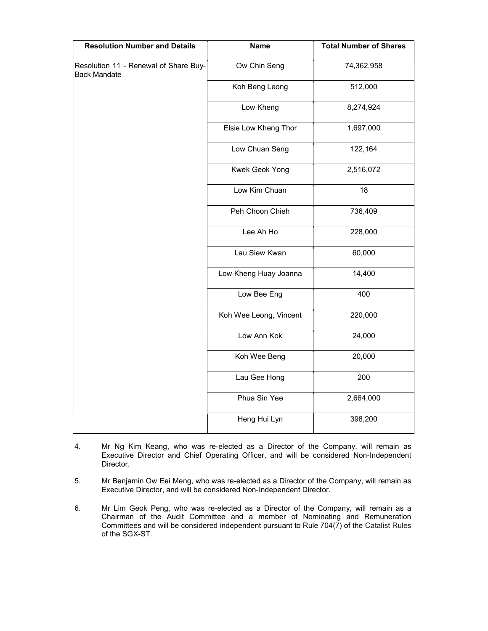| <b>Resolution Number and Details</b>                         | <b>Name</b>            | <b>Total Number of Shares</b> |
|--------------------------------------------------------------|------------------------|-------------------------------|
| Resolution 11 - Renewal of Share Buy-<br><b>Back Mandate</b> | Ow Chin Seng           | 74,362,958                    |
|                                                              | Koh Beng Leong         | 512,000                       |
|                                                              | Low Kheng              | 8,274,924                     |
|                                                              | Elsie Low Kheng Thor   | 1,697,000                     |
|                                                              | Low Chuan Seng         | 122,164                       |
|                                                              | Kwek Geok Yong         | 2,516,072                     |
|                                                              | Low Kim Chuan          | 18                            |
|                                                              | Peh Choon Chieh        | 736,409                       |
|                                                              | Lee Ah Ho              | 228,000                       |
|                                                              | Lau Siew Kwan          | 60,000                        |
|                                                              | Low Kheng Huay Joanna  | 14,400                        |
|                                                              | Low Bee Eng            | 400                           |
|                                                              | Koh Wee Leong, Vincent | 220,000                       |
|                                                              | Low Ann Kok            | 24,000                        |
|                                                              | Koh Wee Beng           | 20,000                        |
|                                                              | Lau Gee Hong           | 200                           |
|                                                              | Phua Sin Yee           | 2,664,000                     |
|                                                              | Heng Hui Lyn           | 398,200                       |

- 4. Mr Ng Kim Keang, who was re-elected as a Director of the Company, will remain as Executive Director and Chief Operating Officer, and will be considered Non-Independent Director.
- 5. Mr Benjamin Ow Eei Meng, who was re-elected as a Director of the Company, will remain as Executive Director, and will be considered Non-Independent Director.
- 6. Mr Lim Geok Peng, who was re-elected as a Director of the Company, will remain as a Chairman of the Audit Committee and a member of Nominating and Remuneration Committees and will be considered independent pursuant to Rule 704 $(7)$  of the Catalist Rules of the SGX-ST.